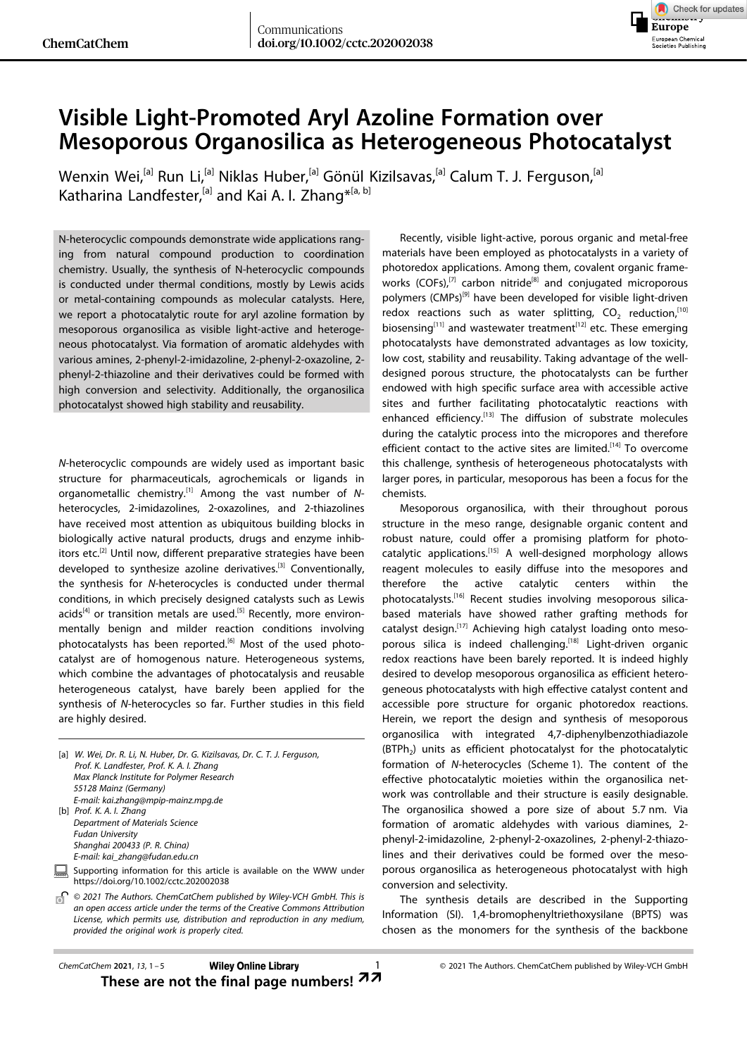

## **Visible Light-Promoted Aryl Azoline Formation over Mesoporous Organosilica as Heterogeneous Photocatalyst**

[Wenxin](http://orcid.org/0000-0003-3862-0419) Wei,<sup>[a]</sup> Run Li,<sup>[a]</sup> Niklas Huber,<sup>[a]</sup> Gönül Kizilsavas,<sup>[a]</sup> Calum T. J. Ferguson,<sup>[a]</sup> Katharina [Landfester,](http://orcid.org/0000-0001-9591-4638)<sup>[a]</sup> and Kai A. I. [Zhang](http://orcid.org/0000-0003-0816-5718)<sup>\*[a, b]</sup>

N-heterocyclic compounds demonstrate wide applications ranging from natural compound production to coordination chemistry. Usually, the synthesis of N-heterocyclic compounds is conducted under thermal conditions, mostly by Lewis acids or metal-containing compounds as molecular catalysts. Here, we report a photocatalytic route for aryl azoline formation by mesoporous organosilica as visible light-active and heterogeneous photocatalyst. Via formation of aromatic aldehydes with various amines, 2-phenyl-2-imidazoline, 2-phenyl-2-oxazoline, 2 phenyl-2-thiazoline and their derivatives could be formed with high conversion and selectivity. Additionally, the organosilica photocatalyst showed high stability and reusability.

*N*-heterocyclic compounds are widely used as important basic structure for pharmaceuticals, agrochemicals or ligands in organometallic chemistry.[1] Among the vast number of *N*heterocycles, 2-imidazolines, 2-oxazolines, and 2-thiazolines have received most attention as ubiquitous building blocks in biologically active natural products, drugs and enzyme inhibitors etc.<sup>[2]</sup> Until now, different preparative strategies have been developed to synthesize azoline derivatives.<sup>[3]</sup> Conventionally, the synthesis for *N*-heterocycles is conducted under thermal conditions, in which precisely designed catalysts such as Lewis acids<sup>[4]</sup> or transition metals are used.<sup>[5]</sup> Recently, more environmentally benign and milder reaction conditions involving photocatalysts has been reported.<sup>[6]</sup> Most of the used photocatalyst are of homogenous nature. Heterogeneous systems, which combine the advantages of photocatalysis and reusable heterogeneous catalyst, have barely been applied for the synthesis of *N*-heterocycles so far. Further studies in this field are highly desired.

|  | [a] W. Wei, Dr. R. Li, N. Huber, Dr. G. Kizilsavas, Dr. C. T. J. Ferguson,<br>Prof. K. Landfester, Prof. K. A. I. Zhang |
|--|-------------------------------------------------------------------------------------------------------------------------|
|  | Max Planck Institute for Polymer Research                                                                               |
|  | 55128 Mainz (Germany)                                                                                                   |
|  | E-mail: kai.zhang@mpip-mainz.mpg.de                                                                                     |
|  | [b] $Prot. K. A. I. Zhang$                                                                                              |
|  | Department of Materials Science                                                                                         |
|  | <b>Fudan University</b>                                                                                                 |
|  | Shanghai 200433 (P. R. China)                                                                                           |
|  | E-mail: kai zhang@fudan.edu.cn                                                                                          |
|  | Supporting information for this article is available on the WWW under<br>https://doi.org/10.1002/cctc.202002038         |
|  | $\otimes$ 3031 The Authoric Cham CatChens authority by Miles MCH Carlett This is                                        |

*© 2021 The Authors. ChemCatChem published by Wiley-VCH GmbH. This is*  $\overline{0}$ *an open access article under the terms of the Creative Commons Attribution License, which permits use, distribution and reproduction in any medium, provided the original work is properly cited.*

Recently, visible light-active, porous organic and metal-free materials have been employed as photocatalysts in a variety of photoredox applications. Among them, covalent organic frameworks  $(COFs)$ ,<sup>[7]</sup> carbon nitride<sup>[8]</sup> and conjugated microporous polymers (CMPs)<sup>[9]</sup> have been developed for visible light-driven redox reactions such as water splitting,  $CO<sub>2</sub>$  reduction,<sup>[10]</sup> biosensing $[11]$  and wastewater treatment $[12]$  etc. These emerging photocatalysts have demonstrated advantages as low toxicity, low cost, stability and reusability. Taking advantage of the welldesigned porous structure, the photocatalysts can be further endowed with high specific surface area with accessible active sites and further facilitating photocatalytic reactions with enhanced efficiency.<sup>[13]</sup> The diffusion of substrate molecules during the catalytic process into the micropores and therefore efficient contact to the active sites are limited.<sup>[14]</sup> To overcome this challenge, synthesis of heterogeneous photocatalysts with larger pores, in particular, mesoporous has been a focus for the chemists.

Mesoporous organosilica, with their throughout porous structure in the meso range, designable organic content and robust nature, could offer a promising platform for photocatalytic applications.[15] A well-designed morphology allows reagent molecules to easily diffuse into the mesopores and therefore the active catalytic centers within the photocatalysts.<sup>[16]</sup> Recent studies involving mesoporous silicabased materials have showed rather grafting methods for catalyst design.<sup>[17]</sup> Achieving high catalyst loading onto mesoporous silica is indeed challenging.<sup>[18]</sup> Light-driven organic redox reactions have been barely reported. It is indeed highly desired to develop mesoporous organosilica as efficient heterogeneous photocatalysts with high effective catalyst content and accessible pore structure for organic photoredox reactions. Herein, we report the design and synthesis of mesoporous organosilica with integrated 4,7-diphenylbenzothiadiazole  $(BTPh<sub>2</sub>)$  units as efficient photocatalyst for the photocatalytic formation of *N*-heterocycles (Scheme 1). The content of the effective photocatalytic moieties within the organosilica network was controllable and their structure is easily designable. The organosilica showed a pore size of about 5.7 nm. Via formation of aromatic aldehydes with various diamines, 2 phenyl-2-imidazoline, 2-phenyl-2-oxazolines, 2-phenyl-2-thiazolines and their derivatives could be formed over the mesoporous organosilica as heterogeneous photocatalyst with high conversion and selectivity.

The synthesis details are described in the Supporting Information (SI). 1,4-bromophenyltriethoxysilane (BPTS) was chosen as the monomers for the synthesis of the backbone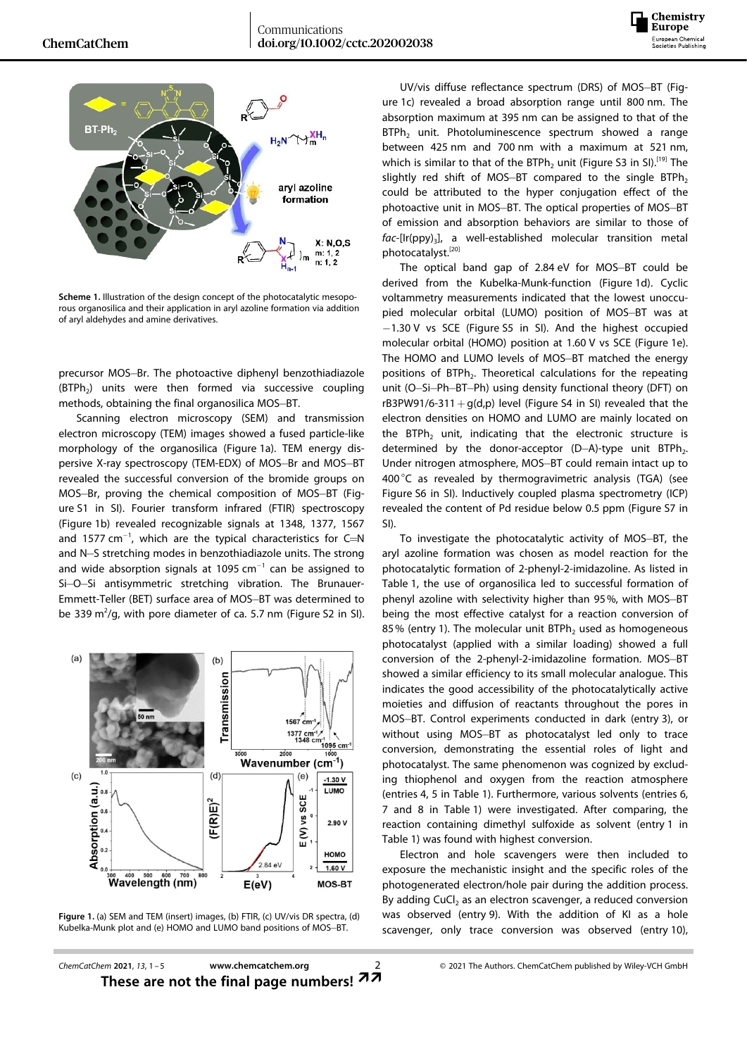



**Scheme 1.** Illustration of the design concept of the photocatalytic mesoporous organosilica and their application in aryl azoline formation via addition of aryl aldehydes and amine derivatives.

precursor MOS-Br. The photoactive diphenyl benzothiadiazole  $(BTPh<sub>2</sub>)$  units were then formed via successive coupling methods, obtaining the final organosilica MOS-BT.

Scanning electron microscopy (SEM) and transmission electron microscopy (TEM) images showed a fused particle-like morphology of the organosilica (Figure 1a). TEM energy dispersive X-ray spectroscopy (TEM-EDX) of MOS-Br and MOS-BT revealed the successful conversion of the bromide groups on MOS-Br, proving the chemical composition of MOS-BT (Figure S1 in SI). Fourier transform infrared (FTIR) spectroscopy (Figure 1b) revealed recognizable signals at 1348, 1377, 1567 and 1577 cm $^{-1}$ , which are the typical characteristics for C=N and N-S stretching modes in benzothiadiazole units. The strong and wide absorption signals at 1095  $cm^{-1}$  can be assigned to Si-O-Si antisymmetric stretching vibration. The Brunauer-Emmett-Teller (BET) surface area of MOS-BT was determined to be 339 m<sup>2</sup>/g, with pore diameter of ca. 5.7 nm (Figure S2 in SI).



**Figure 1.** (a) SEM and TEM (insert) images, (b) FTIR, (c) UV/vis DR spectra, (d) Kubelka-Munk plot and (e) HOMO and LUMO band positions of MOS-BT.

UV/vis diffuse reflectance spectrum (DRS) of MOS-BT (Figure 1c) revealed a broad absorption range until 800 nm. The absorption maximum at 395 nm can be assigned to that of the BTPh<sub>2</sub> unit. Photoluminescence spectrum showed a range between 425 nm and 700 nm with a maximum at 521 nm, which is similar to that of the BTPh<sub>2</sub> unit (Figure S3 in SI).<sup>[19]</sup> The slightly red shift of MOS-BT compared to the single  $BTPh_2$ could be attributed to the hyper conjugation effect of the photoactive unit in MOS-BT. The optical properties of MOS-BT of emission and absorption behaviors are similar to those of fac-[Ir(ppy)<sub>3</sub>], a well-established molecular transition metal photocatalyst.[20]

The optical band gap of 2.84 eV for MOS-BT could be derived from the Kubelka-Munk-function (Figure 1d). Cyclic voltammetry measurements indicated that the lowest unoccupied molecular orbital (LUMO) position of MOS-BT was at  $-1.30$  V vs SCE (Figure S5 in SI). And the highest occupied molecular orbital (HOMO) position at 1.60 V vs SCE (Figure 1e). The HOMO and LUMO levels of MOS-BT matched the energy positions of BTPh<sub>2</sub>. Theoretical calculations for the repeating unit (O-Si-Ph-BT-Ph) using density functional theory (DFT) on rB3PW91/6-311 +  $g(d,p)$  level (Figure S4 in SI) revealed that the electron densities on HOMO and LUMO are mainly located on the BTPh<sub>2</sub> unit, indicating that the electronic structure is determined by the donor-acceptor  $(D-A)-$ type unit BTPh<sub>2</sub>. Under nitrogen atmosphere, MOS-BT could remain intact up to 400°C as revealed by thermogravimetric analysis (TGA) (see Figure S6 in SI). Inductively coupled plasma spectrometry (ICP) revealed the content of Pd residue below 0.5 ppm (Figure S7 in SI).

To investigate the photocatalytic activity of MOS-BT, the aryl azoline formation was chosen as model reaction for the photocatalytic formation of 2-phenyl-2-imidazoline. As listed in Table 1, the use of organosilica led to successful formation of phenyl azoline with selectivity higher than 95%, with MOS-BT being the most effective catalyst for a reaction conversion of 85% (entry 1). The molecular unit BTPh<sub>2</sub> used as homogeneous photocatalyst (applied with a similar loading) showed a full conversion of the 2-phenyl-2-imidazoline formation. MOS-BT showed a similar efficiency to its small molecular analogue. This indicates the good accessibility of the photocatalytically active moieties and diffusion of reactants throughout the pores in MOS-BT. Control experiments conducted in dark (entry 3), or without using MOS-BT as photocatalyst led only to trace conversion, demonstrating the essential roles of light and photocatalyst. The same phenomenon was cognized by excluding thiophenol and oxygen from the reaction atmosphere (entries 4, 5 in Table 1). Furthermore, various solvents (entries 6, 7 and 8 in Table 1) were investigated. After comparing, the reaction containing dimethyl sulfoxide as solvent (entry 1 in Table 1) was found with highest conversion.

Electron and hole scavengers were then included to exposure the mechanistic insight and the specific roles of the photogenerated electron/hole pair during the addition process. By adding CuCl<sub>2</sub> as an electron scavenger, a reduced conversion was observed (entry 9). With the addition of KI as a hole scavenger, only trace conversion was observed (entry 10),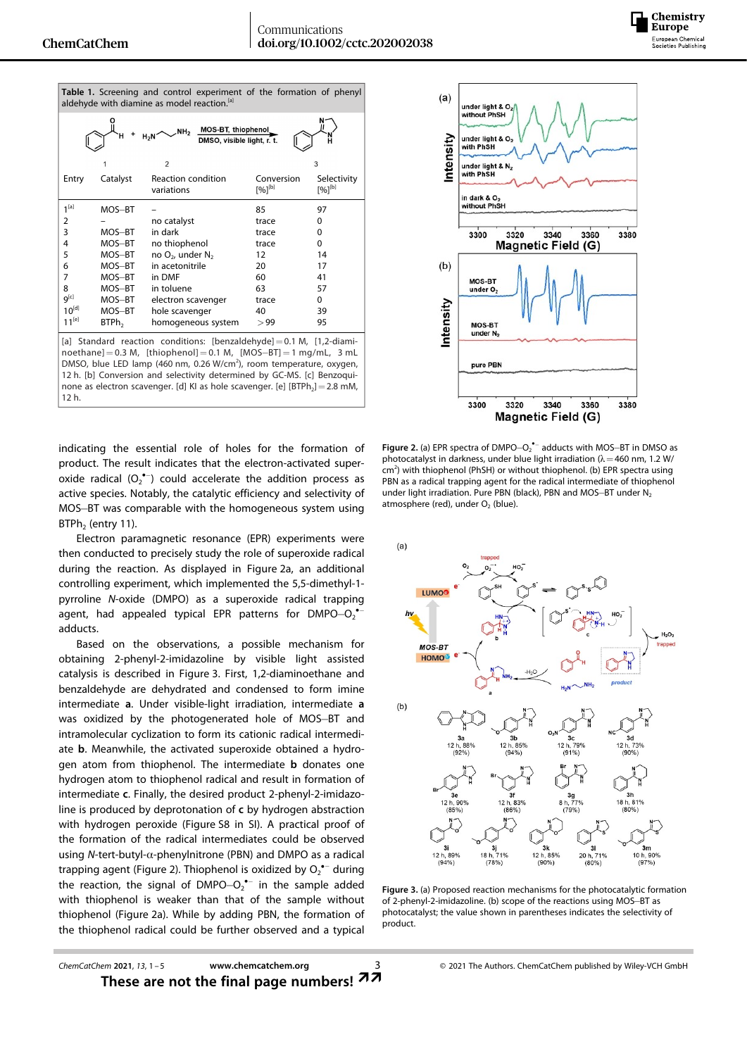12 h.

Communications doi.org/10.1002/cctc.202002038

| Table 1. Screening and control experiment of the formation of phenyl<br>aldehyde with diamine as model reaction. <sup>[a]</sup>                                                                                                                                                                                                                                                                                |                   |                                         |                           |                            |  |  |
|----------------------------------------------------------------------------------------------------------------------------------------------------------------------------------------------------------------------------------------------------------------------------------------------------------------------------------------------------------------------------------------------------------------|-------------------|-----------------------------------------|---------------------------|----------------------------|--|--|
| MOS-BT, thiophenol<br>DMSO, visible light, r. t.<br>NH <sub>2</sub><br>$H_2N$                                                                                                                                                                                                                                                                                                                                  |                   |                                         |                           |                            |  |  |
|                                                                                                                                                                                                                                                                                                                                                                                                                |                   | $\overline{2}$                          |                           | 3                          |  |  |
| Entry                                                                                                                                                                                                                                                                                                                                                                                                          | Catalyst          | <b>Reaction condition</b><br>variations | Conversion<br>$[%]^{[b]}$ | Selectivity<br>$[%]^{[b]}$ |  |  |
| 1 <sup>[a]</sup>                                                                                                                                                                                                                                                                                                                                                                                               | MOS-BT            |                                         | 85                        | 97                         |  |  |
| 2                                                                                                                                                                                                                                                                                                                                                                                                              |                   | no catalyst                             | trace                     | $\Omega$                   |  |  |
| 3                                                                                                                                                                                                                                                                                                                                                                                                              | MOS-BT            | in dark                                 | trace                     | 0                          |  |  |
| 4                                                                                                                                                                                                                                                                                                                                                                                                              | MOS-BT            | no thiophenol                           | trace                     | 0                          |  |  |
| 5                                                                                                                                                                                                                                                                                                                                                                                                              | MOS-BT            | no $O_2$ , under $N_2$                  | 12                        | 14                         |  |  |
| 6                                                                                                                                                                                                                                                                                                                                                                                                              | MOS-BT            | in acetonitrile                         | 20                        | 17                         |  |  |
| 7                                                                                                                                                                                                                                                                                                                                                                                                              | MOS-BT            | in DMF                                  | 60                        | 41                         |  |  |
| 8                                                                                                                                                                                                                                                                                                                                                                                                              | MOS-BT            | in toluene                              | 63                        | 57                         |  |  |
| $q^{[c]}$                                                                                                                                                                                                                                                                                                                                                                                                      | MOS-BT            | electron scavenger                      | trace                     | 0                          |  |  |
| $10^{[d]}$                                                                                                                                                                                                                                                                                                                                                                                                     | MOS-BT            | hole scavenger                          | 40                        | 39                         |  |  |
| $11^{[e]}$                                                                                                                                                                                                                                                                                                                                                                                                     | BTPh <sub>2</sub> | homogeneous system                      | > 99                      | 95                         |  |  |
| [a] Standard reaction conditions: [benzaldehyde] $= 0.1 M$ , [1,2-diami-<br>noethane] $= 0.3$ M, [thiophenol] $= 0.1$ M, [MOS-BT] $= 1$ mg/mL, 3 mL<br>DMSO, blue LED lamp (460 nm, 0.26 W/cm <sup>2</sup> ), room temperature, oxygen,<br>12 h. [b] Conversion and selectivity determined by GC-MS. [c] Benzoqui-<br>none as electron scavenger. [d] KI as hole scavenger. [e] [BTPh <sub>2</sub> ] = 2.8 mM, |                   |                                         |                           |                            |  |  |



Chemistry **Europe** European Chemical<br>Societies Publishing

indicating the essential role of holes for the formation of product. The result indicates that the electron-activated superoxide radical  $(O_2^{\bullet -})$  could accelerate the addition process as active species. Notably, the catalytic efficiency and selectivity of MOS-BT was comparable with the homogeneous system using  $BTPh<sub>2</sub>$  (entry 11).

Electron paramagnetic resonance (EPR) experiments were then conducted to precisely study the role of superoxide radical during the reaction. As displayed in Figure 2a, an additional controlling experiment, which implemented the 5,5-dimethyl-1 pyrroline *N*-oxide (DMPO) as a superoxide radical trapping agent, had appealed typical EPR patterns for  $DMPO-O_2^*$ adducts.

Based on the observations, a possible mechanism for obtaining 2-phenyl-2-imidazoline by visible light assisted catalysis is described in Figure 3. First, 1,2-diaminoethane and benzaldehyde are dehydrated and condensed to form imine intermediate **a**. Under visible-light irradiation, intermediate **a** was oxidized by the photogenerated hole of MOS-BT and intramolecular cyclization to form its cationic radical intermediate **b**. Meanwhile, the activated superoxide obtained a hydrogen atom from thiophenol. The intermediate **b** donates one hydrogen atom to thiophenol radical and result in formation of intermediate **c**. Finally, the desired product 2-phenyl-2-imidazoline is produced by deprotonation of **c** by hydrogen abstraction with hydrogen peroxide (Figure S8 in SI). A practical proof of the formation of the radical intermediates could be observed using *N*-tert-butyl-α-phenylnitrone (PBN) and DMPO as a radical trapping agent (Figure 2). Thiophenol is oxidized by  $O_2$ <sup>\*-</sup> during the reaction, the signal of DMPO $-O_2$ <sup>\*-</sup> in the sample added with thiophenol is weaker than that of the sample without thiophenol (Figure 2a). While by adding PBN, the formation of the thiophenol radical could be further observed and a typical

**Figure 2.** (a) EPR spectra of DMPO-O<sub>2</sub><sup>\*</sup> adducts with MOS-BT in DMSO as photocatalyst in darkness, under blue light irradiation ( $\lambda$  = 460 nm, 1.2 W/ cm<sup>2</sup>) with thiophenol (PhSH) or without thiophenol. (b) EPR spectra using PBN as a radical trapping agent for the radical intermediate of thiophenol under light irradiation. Pure PBN (black), PBN and MOS-BT under  $N_2$ atmosphere (red), under  $O<sub>2</sub>$  (blue).



**Figure 3.** (a) Proposed reaction mechanisms for the photocatalytic formation of 2-phenyl-2-imidazoline. (b) scope of the reactions using MOS-BT as photocatalyst; the value shown in parentheses indicates the selectivity of product.

*ChemCatChem* **2021**, *13*, 1–5 **[www.chemcatchem.org](https://doi.org/10.1002/cctc.202002038)** 3 © 2021 The Authors. ChemCatChem published by Wiley-VCH GmbH These are not the final page numbers!  $27$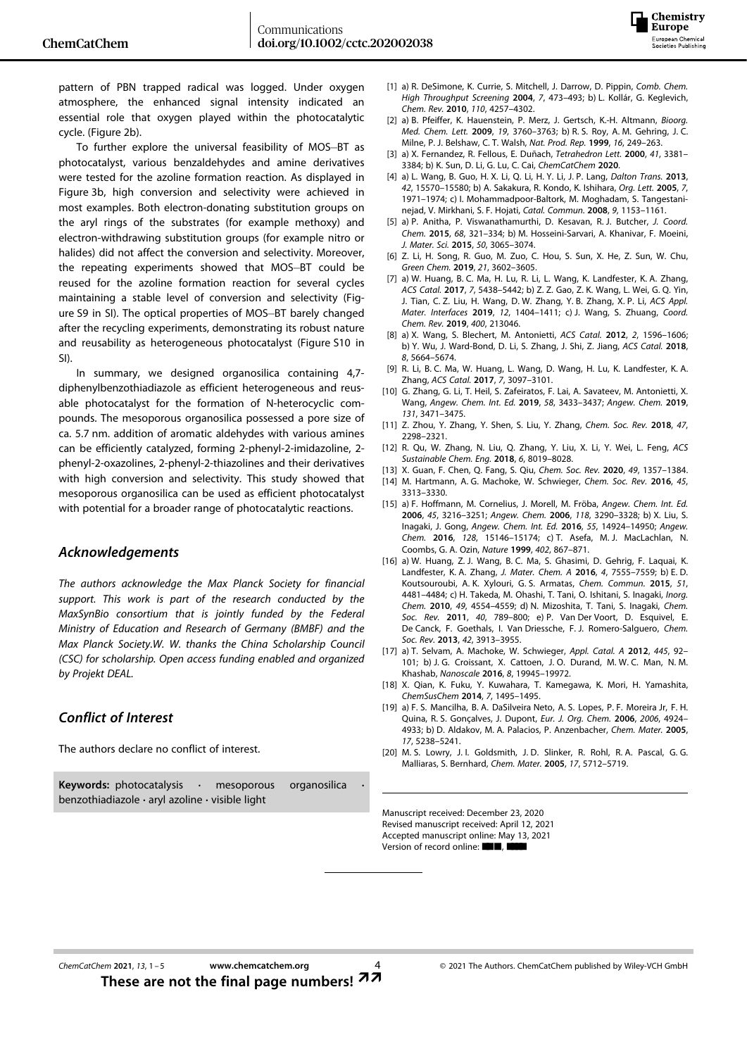

pattern of PBN trapped radical was logged. Under oxygen atmosphere, the enhanced signal intensity indicated an essential role that oxygen played within the photocatalytic cycle. (Figure 2b).

To further explore the universal feasibility of MOS-BT as photocatalyst, various benzaldehydes and amine derivatives were tested for the azoline formation reaction. As displayed in Figure 3b, high conversion and selectivity were achieved in most examples. Both electron-donating substitution groups on the aryl rings of the substrates (for example methoxy) and electron-withdrawing substitution groups (for example nitro or halides) did not affect the conversion and selectivity. Moreover, the repeating experiments showed that MOS-BT could be reused for the azoline formation reaction for several cycles maintaining a stable level of conversion and selectivity (Figure S9 in SI). The optical properties of MOS-BT barely changed after the recycling experiments, demonstrating its robust nature and reusability as heterogeneous photocatalyst (Figure S10 in SI).

In summary, we designed organosilica containing 4,7 diphenylbenzothiadiazole as efficient heterogeneous and reusable photocatalyst for the formation of N-heterocyclic compounds. The mesoporous organosilica possessed a pore size of ca. 5.7 nm. addition of aromatic aldehydes with various amines can be efficiently catalyzed, forming 2-phenyl-2-imidazoline, 2 phenyl-2-oxazolines, 2-phenyl-2-thiazolines and their derivatives with high conversion and selectivity. This study showed that mesoporous organosilica can be used as efficient photocatalyst with potential for a broader range of photocatalytic reactions.

#### *Acknowledgements*

*The authors acknowledge the Max Planck Society for financial support. This work is part of the research conducted by the MaxSynBio consortium that is jointly funded by the Federal Ministry of Education and Research of Germany (BMBF) and the Max Planck Society.W. W. thanks the China Scholarship Council (CSC) for scholarship. Open access funding enabled and organized by Projekt DEAL.*

#### *Conflict of Interest*

The authors declare no conflict of interest.

**Keywords:** photocatalysis **·** mesoporous organosilica **·** benzothiadiazole **·** aryl azoline **·** visible light

- [1] a) R. DeSimone, K. Currie, S. Mitchell, J. Darrow, D. Pippin, *Comb. Chem. High Throughput Screening* **2004**, *7*, 473–493; b) L. Kollár, G. Keglevich, *Chem. Rev.* **2010**, *110*, [4257–4302.](https://doi.org/10.1021/cr900364c)
- [2] a) B. Pfeiffer, K. Hauenstein, P. Merz, J. Gertsch, K.-H. Altmann, *[Bioorg.](https://doi.org/10.1016/j.bmcl.2009.04.112) Med. Chem. Lett.* **2009**, *19*, [3760–3763](https://doi.org/10.1016/j.bmcl.2009.04.112); b) R. S. Roy, A. M. Gehring, J. C. Milne, P. J. Belshaw, C. T. Walsh, *Nat. Prod. Rep.* **1999**, *16*, [249–263.](https://doi.org/10.1039/a806930a)
- [3] a) X. Fernandez, R. Fellous, E. Duñach, *[Tetrahedron](https://doi.org/10.1016/S0040-4039(00)00419-6) Lett.* **2000**, *41*, 3381– [3384;](https://doi.org/10.1016/S0040-4039(00)00419-6) b) K. Sun, D. Li, G. Lu, C. Cai, *ChemCatChem* **2020**.
- [4] a) L. Wang, B. Guo, H. X. Li, Q. Li, H. Y. Li, J. P. Lang, *[Dalton](https://doi.org/10.1039/c3dt51970h) Trans.* **2013**, *42*, [15570–15580;](https://doi.org/10.1039/c3dt51970h) b) A. Sakakura, R. Kondo, K. Ishihara, *Org. Lett.* **[2005](https://doi.org/10.1021/ol050543j)**, *7*, [1971–1974;](https://doi.org/10.1021/ol050543j) c) I. Mohammadpoor-Baltork, M. Moghadam, S. Tangestaninejad, V. Mirkhani, S. F. Hojati, *Catal. Commun.* **2008**, *9*, [1153–1161.](https://doi.org/10.1016/j.catcom.2007.10.026)
- [5] a) P. Anitha, P. Viswanathamurthi, D. Kesavan, R. J. Butcher, *J. [Coord.](https://doi.org/10.1080/00958972.2014.977269) Chem.* **2015**, *68*, [321–334;](https://doi.org/10.1080/00958972.2014.977269) b) M. Hosseini-Sarvari, A. Khanivar, F. Moeini, *J. Mater. Sci.* **2015**, *50*, [3065–3074](https://doi.org/10.1007/s10853-015-8866-7).
- [6] Z. Li, H. Song, R. Guo, M. Zuo, C. Hou, S. Sun, X. He, Z. Sun, W. Chu, *Green Chem.* **2019**, *21*, [3602–3605.](https://doi.org/10.1039/C9GC01359H)
- [7] a) W. Huang, B. C. Ma, H. Lu, R. Li, L. Wang, K. Landfester, K. A. Zhang, *ACS Catal.* **2017**, *7*, [5438–5442;](https://doi.org/10.1021/acscatal.7b01719) b) Z. Z. Gao, Z. K. Wang, L. Wei, G. Q. Yin, J. Tian, C. Z. Liu, H. Wang, D. W. Zhang, Y. B. Zhang, X. P. Li, *ACS Appl. Mater. Interfaces* **2019**, *12*, 1404–1411; c) J. Wang, S. Zhuang, *[Coord.](https://doi.org/10.1016/j.ccr.2019.213046) Chem. Rev.* **2019**, *400*, [213046](https://doi.org/10.1016/j.ccr.2019.213046).
- [8] a) X. Wang, S. Blechert, M. Antonietti, *ACS Catal.* **2012**, *2*, [1596–1606;](https://doi.org/10.1021/cs300240x) b) Y. Wu, J. Ward-Bond, D. Li, S. Zhang, J. Shi, Z. Jiang, *ACS [Catal.](https://doi.org/10.1021/acscatal.8b00070)* **2018**, *8*, [5664–5674](https://doi.org/10.1021/acscatal.8b00070).
- [9] R. Li, B. C. Ma, W. Huang, L. Wang, D. Wang, H. Lu, K. Landfester, K. A. Zhang, *ACS Catal.* **2017**, *7*, [3097–3101](https://doi.org/10.1021/acscatal.7b00490).
- [10] G. Zhang, G. Li, T. Heil, S. Zafeiratos, F. Lai, A. Savateev, M. Antonietti, X. Wang, *Angew. Chem. Int. Ed.* **2019**, *58*, [3433–3437;](https://doi.org/10.1002/anie.201811938) *[Angew.](https://doi.org/10.1002/ange.201811938) Chem.* **2019**, *131*, [3471–3475.](https://doi.org/10.1002/ange.201811938)
- [11] Z. Zhou, Y. Zhang, Y. Shen, S. Liu, Y. Zhang, *[Chem.](https://doi.org/10.1039/C7CS00840F) Soc. Rev.* **2018**, *47*, [2298–2321.](https://doi.org/10.1039/C7CS00840F)
- [12] R. Qu, W. Zhang, N. Liu, Q. Zhang, Y. Liu, X. Li, Y. Wei, L. Feng, *[ACS](https://doi.org/10.1021/acssuschemeng.8b01469) [Sustainable](https://doi.org/10.1021/acssuschemeng.8b01469) Chem. Eng.* **2018**, *6*, 8019–8028.
- [13] X. Guan, F. Chen, Q. Fang, S. Qiu, *Chem. Soc. Rev.* **2020**, *49*, [1357–1384.](https://doi.org/10.1039/C9CS00911F)
- [14] M. Hartmann, A. G. Machoke, W. Schwieger, *[Chem.](https://doi.org/10.1039/C5CS00935A) Soc. Rev.* **2016**, *45*, [3313–3330.](https://doi.org/10.1039/C5CS00935A)
- [15] a) F. Hoffmann, M. Cornelius, J. Morell, M. Fröba, *[Angew.](https://doi.org/10.1002/anie.200503075) Chem. Int. Ed.* **2006**, *45*, [3216–3251;](https://doi.org/10.1002/anie.200503075) *Angew. Chem.* **2006**, *118*, [3290–3328](https://doi.org/10.1002/ange.200503075); b) X. Liu, S. Inagaki, J. Gong, *Angew. Chem. Int. Ed.* **2016**, *55*, [14924–14950;](https://doi.org/10.1002/anie.201600395) *[Angew.](https://doi.org/10.1002/ange.201600395) Chem.* **2016**, *128*, [15146–15174;](https://doi.org/10.1002/ange.201600395) c) T. Asefa, M. J. MacLachlan, N. Coombs, G. A. Ozin, *Nature* **1999**, *402*, [867–871](https://doi.org/10.1038/47229).
- [16] a) W. Huang, Z. J. Wang, B. C. Ma, S. Ghasimi, D. Gehrig, F. Laquai, K. Landfester, K. A. Zhang, *J. Mater. Chem. A* **2016**, *4*, [7555–7559](https://doi.org/10.1039/C6TA01828A); b) E. D. Koutsouroubi, A. K. Xylouri, G. S. Armatas, *Chem. [Commun.](https://doi.org/10.1039/C4CC10029H)* **2015**, *51*, [4481–4484;](https://doi.org/10.1039/C4CC10029H) c) H. Takeda, M. Ohashi, T. Tani, O. Ishitani, S. Inagaki, *[Inorg.](https://doi.org/10.1021/ic1000914) Chem.* **2010**, *49*, [4554–4559](https://doi.org/10.1021/ic1000914); d) N. Mizoshita, T. Tani, S. Inagaki, *[Chem.](https://doi.org/10.1039/C0CS00010H) Soc. Rev.* **2011**, *40*, [789–800;](https://doi.org/10.1039/C0CS00010H) e) P. Van Der Voort, D. Esquivel, E. De Canck, F. Goethals, I. Van Driessche, F. J. Romero-Salguero, *[Chem.](https://doi.org/10.1039/C2CS35222B) Soc. Rev.* **2013**, *42*, [3913–3955](https://doi.org/10.1039/C2CS35222B).
- [17] a) T. Selvam, A. Machoke, W. Schwieger, *Appl. [Catal.](https://doi.org/10.1016/j.apcata.2012.08.007) A* **2012**, *445*, 92– [101;](https://doi.org/10.1016/j.apcata.2012.08.007) b) J. G. Croissant, X. Cattoen, J. O. Durand, M. W. C. Man, N. M. Khashab, *Nanoscale* **2016**, *8*, [19945–19972.](https://doi.org/10.1039/C6NR06862F)
- [18] X. Qian, K. Fuku, Y. Kuwahara, T. Kamegawa, K. Mori, H. Yamashita, *[ChemSusChem](https://doi.org/10.1002/cssc.201400098)* **2014**, *7*, 1495–1495.
- [19] a) F. S. Mancilha, B. A. DaSilveira Neto, A. S. Lopes, P. F. Moreira Jr, F. H. Quina, R. S. Gonçalves, J. Dupont, *Eur. J. Org. Chem.* **2006**, *2006*, 4924– 4933; b) D. Aldakov, M. A. Palacios, P. Anzenbacher, *Chem. [Mater.](https://doi.org/10.1021/cm050985p)* **2005**, *17*, [5238–5241.](https://doi.org/10.1021/cm050985p)
- [20] M. S. Lowry, J. I. Goldsmith, J. D. Slinker, R. Rohl, R. A. Pascal, G. G. Malliaras, S. Bernhard, *Chem. Mater.* **2005**, *17*, [5712–5719](https://doi.org/10.1021/cm051312+).

Manuscript received: December 23, 2020 Revised manuscript received: April 12, 2021 Accepted manuscript online: May 13, 2021 Version of record online: ■■,■